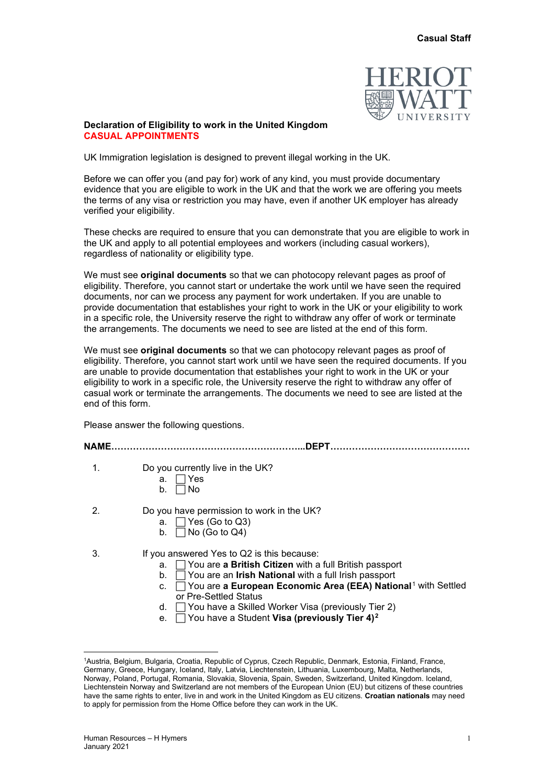

## **Declaration of Eligibility to work in the United Kingdom CASUAL APPOINTMENTS**

UK Immigration legislation is designed to prevent illegal working in the UK.

Before we can offer you (and pay for) work of any kind, you must provide documentary evidence that you are eligible to work in the UK and that the work we are offering you meets the terms of any visa or restriction you may have, even if another UK employer has already verified your eligibility.

These checks are required to ensure that you can demonstrate that you are eligible to work in the UK and apply to all potential employees and workers (including casual workers), regardless of nationality or eligibility type.

We must see **original documents** so that we can photocopy relevant pages as proof of eligibility. Therefore, you cannot start or undertake the work until we have seen the required documents, nor can we process any payment for work undertaken. If you are unable to provide documentation that establishes your right to work in the UK or your eligibility to work in a specific role, the University reserve the right to withdraw any offer of work or terminate the arrangements. The documents we need to see are listed at the end of this form.

We must see **original documents** so that we can photocopy relevant pages as proof of eligibility. Therefore, you cannot start work until we have seen the required documents. If you are unable to provide documentation that establishes your right to work in the UK or your eligibility to work in a specific role, the University reserve the right to withdraw any offer of casual work or terminate the arrangements. The documents we need to see are listed at the end of this form.

Please answer the following questions.

| <b>NAME</b> | <b>DEPT</b>                                                                                                                                                                                                                                                                                                                                                                  |
|-------------|------------------------------------------------------------------------------------------------------------------------------------------------------------------------------------------------------------------------------------------------------------------------------------------------------------------------------------------------------------------------------|
| 1.          | Do you currently live in the UK?<br>⊺Yes<br>а.<br>l No<br>b.                                                                                                                                                                                                                                                                                                                 |
| 2.          | Do you have permission to work in the UK?<br>a. $\Box$ Yes (Go to Q3)<br>b. $\Box$ No (Go to Q4)                                                                                                                                                                                                                                                                             |
| 3.          | If you answered Yes to Q2 is this because:<br>a. $\Box$ You are <b>a British Citizen</b> with a full British passport<br>b. $\Box$ You are an <b>Irish National</b> with a full Irish passport<br>$\Box$ You are a European Economic Area (EEA) National <sup>1</sup> with Settled<br>C.<br>or Pre-Settled Status<br>d.   You have a Skilled Worker Visa (previously Tier 2) |

e. You have a Student **Visa (previously Tier 4)[2](#page-0-1)**

<span id="page-0-1"></span><span id="page-0-0"></span><sup>1</sup> Austria, Belgium, Bulgaria, Croatia, Republic of Cyprus, Czech Republic, Denmark, Estonia, Finland, France, Germany, Greece, Hungary, Iceland, Italy, Latvia, Liechtenstein, Lithuania, Luxembourg, Malta, Netherlands, Norway, Poland, Portugal, Romania, Slovakia, Slovenia, Spain, Sweden, Switzerland, United Kingdom. Iceland, Liechtenstein Norway and Switzerland are not members of the European Union (EU) but citizens of these countries have the same rights to enter, live in and work in the United Kingdom as EU citizens. **Croatian nationals** may need to apply for permission from the Home Office before they can work in the UK.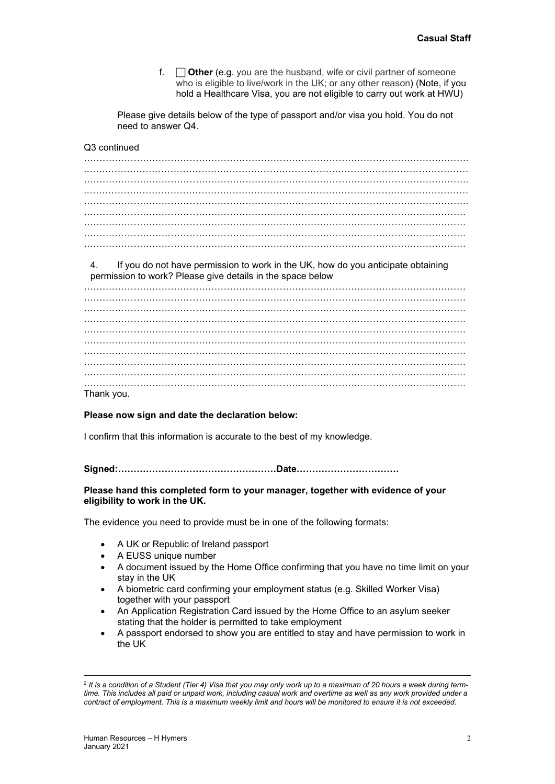f. **Other** (e.g. you are the husband, wife or civil partner of someone who is eligible to live/work in the UK; or any other reason) (Note, if you hold a Healthcare Visa, you are not eligible to carry out work at HWU)

Please give details below of the type of passport and/or visa you hold. You do not need to answer Q4.

## Q3 continued

……………………………………………………………………………………………………………. .…………………………………………………………………………………………………………… ……………………………………………………………………………………………………………. .…………………………………………………………………………………………………………… ……………………………………………………………………………………………………………. …………………………………………………………………………………………………………… …………………………………………………………………………………………………………… ……………………………………………………………………………………………………………

4. If you do not have permission to work in the UK, how do you anticipate obtaining permission to work? Please give details in the space below

…………………………………………………………………………………………………………… …………………………………………………………………………………………………………… . The same independent of the same independent of the same independent of the same independent of the same independent of the same independent of the same independent of the same independent of the same independent of the . The same independent of the same independent of the same independent of the same independent of the same independent of the same independent of the same independent of the same independent of the same independent of the . The contract of the contract of the contract of the contract of the contract of the contract of the contract of the contract of the contract of the contract of the contract of the contract of the contract of the contrac …………………………………………………………………………………………………………… …………………………………………………………………………………………………………… …………………………………………………………………………………………………………… Thank you.

## **Please now sign and date the declaration below:**

I confirm that this information is accurate to the best of my knowledge.

**Signed:……………………………………………Date……………………………**

## **Please hand this completed form to your manager, together with evidence of your eligibility to work in the UK.**

The evidence you need to provide must be in one of the following formats:

- A UK or Republic of Ireland passport
- A EUSS unique number
- A document issued by the Home Office confirming that you have no time limit on your stay in the UK
- A biometric card confirming your employment status (e.g. Skilled Worker Visa) together with your passport
- An Application Registration Card issued by the Home Office to an asylum seeker stating that the holder is permitted to take employment
- A passport endorsed to show you are entitled to stay and have permission to work in the UK

<sup>2</sup> *It is a condition of a Student (Tier 4) Visa that you may only work up to a maximum of 20 hours a week during termtime. This includes all paid or unpaid work, including casual work and overtime as well as any work provided under a contract of employment. This is a maximum weekly limit and hours will be monitored to ensure it is not exceeded.*